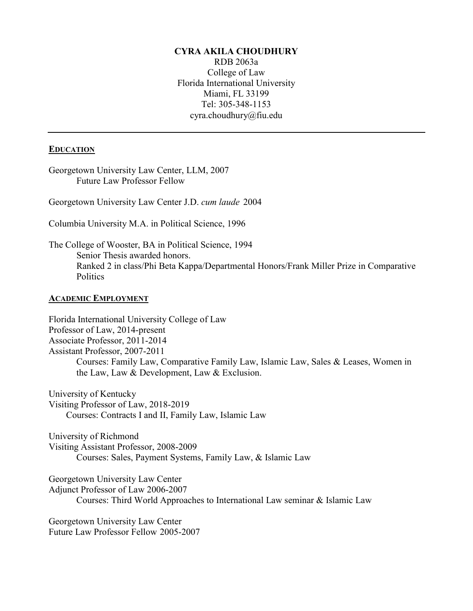### **CYRA AKILA CHOUDHURY**

RDB 2063a College of Law Florida International University Miami, FL 33199 Tel: 305-348-1153 cyra.choudhury@fiu.edu

#### **EDUCATION**

Georgetown University Law Center, LLM, 2007 Future Law Professor Fellow

Georgetown University Law Center J.D. *cum laude* 2004

Columbia University M.A. in Political Science, 1996

The College of Wooster, BA in Political Science, 1994 Senior Thesis awarded honors. Ranked 2 in class/Phi Beta Kappa/Departmental Honors/Frank Miller Prize in Comparative **Politics** 

#### **ACADEMIC EMPLOYMENT**

Florida International University College of Law Professor of Law, 2014-present Associate Professor, 2011-2014 Assistant Professor, 2007-2011 Courses: Family Law, Comparative Family Law, Islamic Law, Sales & Leases, Women in the Law, Law & Development, Law & Exclusion.

University of Kentucky Visiting Professor of Law, 2018-2019 Courses: Contracts I and II, Family Law, Islamic Law

University of Richmond Visiting Assistant Professor, 2008-2009 Courses: Sales, Payment Systems, Family Law, & Islamic Law

Georgetown University Law Center Adjunct Professor of Law 2006-2007 Courses: Third World Approaches to International Law seminar & Islamic Law

Georgetown University Law Center Future Law Professor Fellow 2005-2007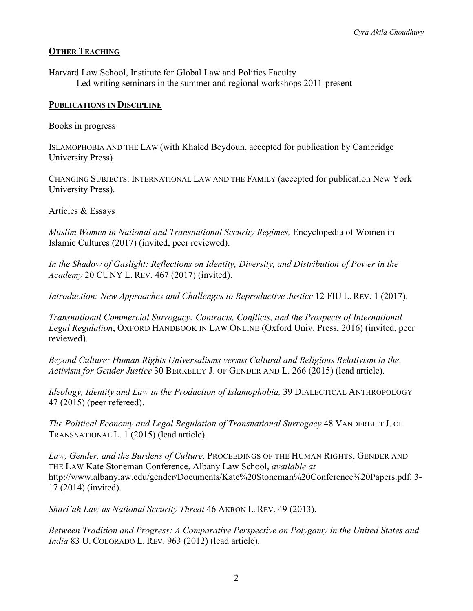### **OTHER TEACHING**

Harvard Law School, Institute for Global Law and Politics Faculty Led writing seminars in the summer and regional workshops 2011-present

#### **PUBLICATIONS IN DISCIPLINE**

### Books in progress

ISLAMOPHOBIA AND THE LAW (with Khaled Beydoun, accepted for publication by Cambridge University Press)

CHANGING SUBJECTS: INTERNATIONAL LAW AND THE FAMILY (accepted for publication New York University Press).

#### Articles & Essays

*Muslim Women in National and Transnational Security Regimes,* Encyclopedia of Women in Islamic Cultures (2017) (invited, peer reviewed).

*In the Shadow of Gaslight: Reflections on Identity, Diversity, and Distribution of Power in the Academy* 20 CUNY L. REV. 467 (2017) (invited).

*Introduction: New Approaches and Challenges to Reproductive Justice 12 FIU L. REV. 1 (2017).* 

*Transnational Commercial Surrogacy: Contracts, Conflicts, and the Prospects of International Legal Regulation*, OXFORD HANDBOOK IN LAW ONLINE (Oxford Univ. Press, 2016) (invited, peer reviewed).

*Beyond Culture: Human Rights Universalisms versus Cultural and Religious Relativism in the Activism for Gender Justice* 30 BERKELEY J. OF GENDER AND L. 266 (2015) (lead article).

*Ideology, Identity and Law in the Production of Islamophobia,* 39 DIALECTICAL ANTHROPOLOGY 47 (2015) (peer refereed).

*The Political Economy and Legal Regulation of Transnational Surrogacy* 48 VANDERBILT J. OF TRANSNATIONAL L. 1 (2015) (lead article).

*Law, Gender, and the Burdens of Culture,* PROCEEDINGS OF THE HUMAN RIGHTS, GENDER AND THE LAW Kate Stoneman Conference, Albany Law School, *available at* [http://www.albanylaw.edu/gender/Documents/Kate%20Stoneman%20Conference%20Papers.pdf.](http://www.albanylaw.edu/gender/Documents/Kate%20Stoneman%20Conference%20Papers.pdf) 3- 17 (2014) (invited).

*Shari'ah Law as National Security Threat* 46 AKRON L. REV. 49 (2013).

*Between Tradition and Progress: A Comparative Perspective on Polygamy in the United States and India* 83 U. COLORADO L. REV. 963 (2012) (lead article).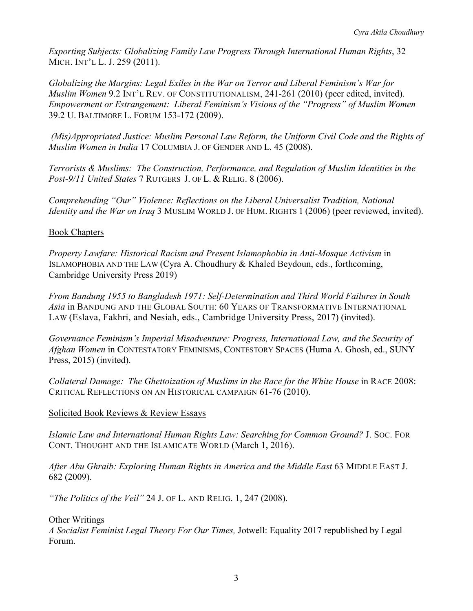*Exporting Subjects: Globalizing Family Law Progress Through International Human Rights*, 32 MICH. INT'L L. J. 259 (2011).

*Globalizing the Margins: Legal Exiles in the War on Terror and Liberal Feminism's War for Muslim Women* 9.2 INT'L REV. OF CONSTITUTIONALISM, 241-261 (2010) (peer edited, invited). *Empowerment or Estrangement: Liberal Feminism's Visions of the "Progress" of Muslim Women* 39.2 U. BALTIMORE L. FORUM 153-172 (2009).

*(Mis)Appropriated Justice: Muslim Personal Law Reform, the Uniform Civil Code and the Rights of Muslim Women in India* 17 COLUMBIA J. OF GENDER AND L. 45 (2008).

*Terrorists & Muslims: The Construction, Performance, and Regulation of Muslim Identities in the Post-9/11 United States* 7 RUTGERS J. OF L. & RELIG. 8 (2006).

*Comprehending "Our" Violence: Reflections on the Liberal Universalist Tradition, National Identity and the War on Iraq* 3 MUSLIM WORLD J. OF HUM. RIGHTS 1 (2006) (peer reviewed, invited).

## Book Chapters

*Property Lawfare: Historical Racism and Present Islamophobia in Anti-Mosque Activism* in ISLAMOPHOBIA AND THE LAW (Cyra A. Choudhury & Khaled Beydoun, eds., forthcoming, Cambridge University Press 2019)

*From Bandung 1955 to Bangladesh 1971: Self-Determination and Third World Failures in South Asia* in BANDUNG AND THE GLOBAL SOUTH: 60 YEARS OF TRANSFORMATIVE INTERNATIONAL LAW (Eslava, Fakhri, and Nesiah, eds., Cambridge University Press, 2017) (invited).

*Governance Feminism's Imperial Misadventure: Progress, International Law, and the Security of Afghan Women* in CONTESTATORY FEMINISMS, CONTESTORY SPACES (Huma A. Ghosh, ed., SUNY Press, 2015) (invited).

*Collateral Damage: The Ghettoization of Muslims in the Race for the White House* in RACE 2008: CRITICAL REFLECTIONS ON AN HISTORICAL CAMPAIGN 61-76 (2010).

# Solicited Book Reviews & Review Essays

*Islamic Law and International Human Rights Law: Searching for Common Ground?* J. SOC. FOR CONT. THOUGHT AND THE ISLAMICATE WORLD (March 1, 2016).

*After Abu Ghraib: Exploring Human Rights in America and the Middle East* 63 MIDDLE EAST J. 682 (2009).

*"The Politics of the Veil"* 24 J. OF L. AND RELIG. 1, 247 (2008).

## Other Writings

*A Socialist Feminist Legal Theory For Our Times,* Jotwell: Equality 2017 republished by Legal Forum.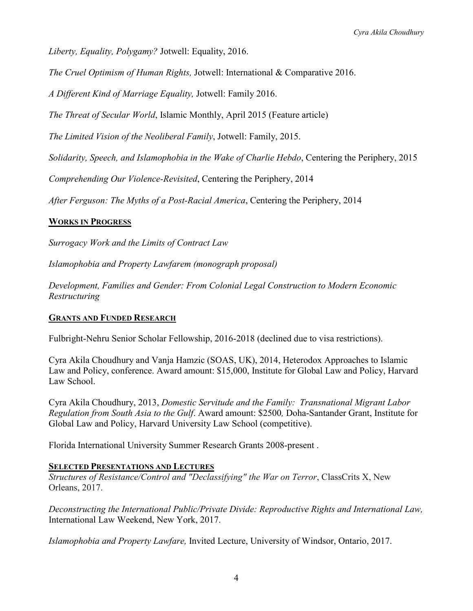*Liberty, Equality, Polygamy?* Jotwell: Equality, 2016.

*The Cruel Optimism of Human Rights,* Jotwell: International & Comparative 2016.

*A Different Kind of Marriage Equality,* Jotwell: Family 2016.

*The Threat of Secular World*, Islamic Monthly, April 2015 (Feature article)

*The Limited Vision of the Neoliberal Family*, Jotwell: Family, 2015.

*Solidarity, Speech, and Islamophobia in the Wake of Charlie Hebdo*, Centering the Periphery, 2015

*Comprehending Our Violence-Revisited*, Centering the Periphery, 2014

*After Ferguson: The Myths of a Post-Racial America*, Centering the Periphery, 2014

### **WORKS IN PROGRESS**

*Surrogacy Work and the Limits of Contract Law*

*Islamophobia and Property Lawfarem (monograph proposal)*

*Development, Families and Gender: From Colonial Legal Construction to Modern Economic Restructuring* 

### **GRANTS AND FUNDED RESEARCH**

Fulbright-Nehru Senior Scholar Fellowship, 2016-2018 (declined due to visa restrictions).

Cyra Akila Choudhury and Vanja Hamzic (SOAS, UK), 2014, Heterodox Approaches to Islamic Law and Policy, conference. Award amount: \$15,000, Institute for Global Law and Policy, Harvard Law School.

Cyra Akila Choudhury, 2013, *Domestic Servitude and the Family: Transnational Migrant Labor Regulation from South Asia to the Gulf*. Award amount: \$2500*,* Doha-Santander Grant, Institute for Global Law and Policy, Harvard University Law School (competitive).

Florida International University Summer Research Grants 2008-present .

### **SELECTED PRESENTATIONS AND LECTURES**

*Structures of Resistance/Control and "Declassifying" the War on Terror*, ClassCrits X, New Orleans, 2017.

*Deconstructing the International Public/Private Divide: Reproductive Rights and International Law,*  International Law Weekend, New York, 2017.

*Islamophobia and Property Lawfare,* Invited Lecture, University of Windsor, Ontario, 2017.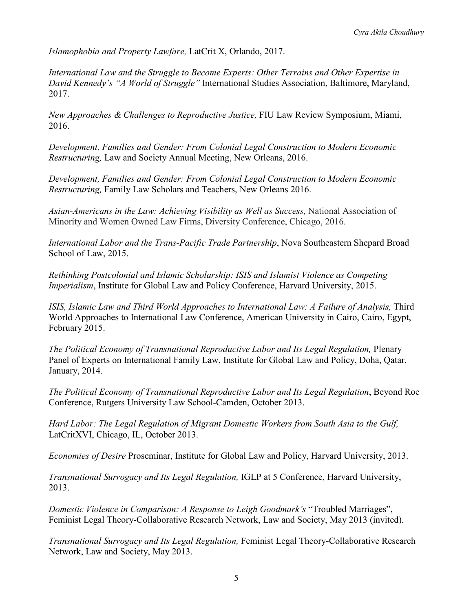*Islamophobia and Property Lawfare,* LatCrit X, Orlando, 2017.

*International Law and the Struggle to Become Experts: Other Terrains and Other Expertise in David Kennedy's "A World of Struggle"* International Studies Association, Baltimore, Maryland, 2017.

*New Approaches & Challenges to Reproductive Justice,* FIU Law Review Symposium, Miami, 2016.

*Development, Families and Gender: From Colonial Legal Construction to Modern Economic Restructuring,* Law and Society Annual Meeting, New Orleans, 2016.

*Development, Families and Gender: From Colonial Legal Construction to Modern Economic Restructuring,* Family Law Scholars and Teachers, New Orleans 2016.

*Asian-Americans in the Law: Achieving Visibility as Well as Success,* National Association of Minority and Women Owned Law Firms, Diversity Conference, Chicago, 2016.

*International Labor and the Trans-Pacific Trade Partnership*, Nova Southeastern Shepard Broad School of Law, 2015.

*Rethinking Postcolonial and Islamic Scholarship: ISIS and Islamist Violence as Competing Imperialism*, Institute for Global Law and Policy Conference, Harvard University, 2015.

*ISIS, Islamic Law and Third World Approaches to International Law: A Failure of Analysis, Third* World Approaches to International Law Conference, American University in Cairo, Cairo, Egypt, February 2015.

*The Political Economy of Transnational Reproductive Labor and Its Legal Regulation,* Plenary Panel of Experts on International Family Law, Institute for Global Law and Policy, Doha, Qatar, January, 2014.

*The Political Economy of Transnational Reproductive Labor and Its Legal Regulation*, Beyond Roe Conference, Rutgers University Law School-Camden, October 2013.

*Hard Labor: The Legal Regulation of Migrant Domestic Workers from South Asia to the Gulf,*  LatCritXVI, Chicago, IL, October 2013.

*Economies of Desire* Proseminar, Institute for Global Law and Policy, Harvard University, 2013.

*Transnational Surrogacy and Its Legal Regulation,* IGLP at 5 Conference, Harvard University, 2013.

*Domestic Violence in Comparison: A Response to Leigh Goodmark's* "Troubled Marriages", Feminist Legal Theory-Collaborative Research Network, Law and Society, May 2013 (invited)*.*

*Transnational Surrogacy and Its Legal Regulation,* Feminist Legal Theory-Collaborative Research Network, Law and Society, May 2013.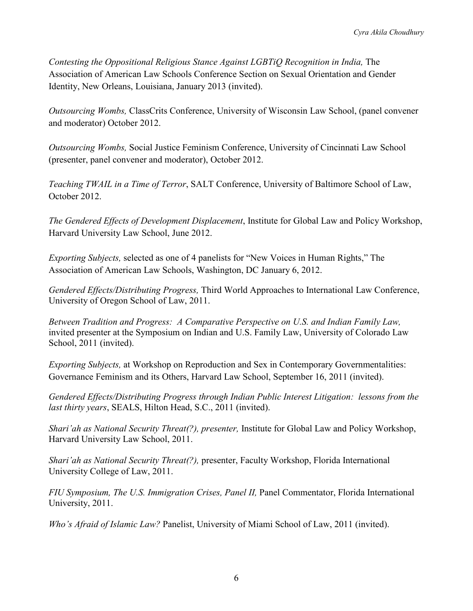*Contesting the Oppositional Religious Stance Against LGBTiQ Recognition in India, The* Association of American Law Schools Conference Section on Sexual Orientation and Gender Identity, New Orleans, Louisiana, January 2013 (invited).

*Outsourcing Wombs,* ClassCrits Conference, University of Wisconsin Law School, (panel convener and moderator) October 2012.

*Outsourcing Wombs,* Social Justice Feminism Conference, University of Cincinnati Law School (presenter, panel convener and moderator), October 2012.

*Teaching TWAIL in a Time of Terror*, SALT Conference, University of Baltimore School of Law, October 2012.

*The Gendered Effects of Development Displacement*, Institute for Global Law and Policy Workshop, Harvard University Law School, June 2012.

*Exporting Subjects,* selected as one of 4 panelists for "New Voices in Human Rights," The Association of American Law Schools, Washington, DC January 6, 2012.

*Gendered Effects/Distributing Progress,* Third World Approaches to International Law Conference, University of Oregon School of Law, 2011.

*Between Tradition and Progress: A Comparative Perspective on U.S. and Indian Family Law,*  invited presenter at the Symposium on Indian and U.S. Family Law, University of Colorado Law School, 2011 (invited).

*Exporting Subjects,* at Workshop on Reproduction and Sex in Contemporary Governmentalities: Governance Feminism and its Others, Harvard Law School, September 16, 2011 (invited).

*Gendered Effects/Distributing Progress through Indian Public Interest Litigation: lessons from the last thirty years*, SEALS, Hilton Head, S.C., 2011 (invited).

*Shari'ah as National Security Threat(?), presenter,* Institute for Global Law and Policy Workshop, Harvard University Law School, 2011.

*Shari'ah as National Security Threat(?),* presenter, Faculty Workshop, Florida International University College of Law, 2011.

*FIU Symposium, The U.S. Immigration Crises, Panel II, Panel Commentator, Florida International* University, 2011.

*Who's Afraid of Islamic Law?* Panelist, University of Miami School of Law, 2011 (invited).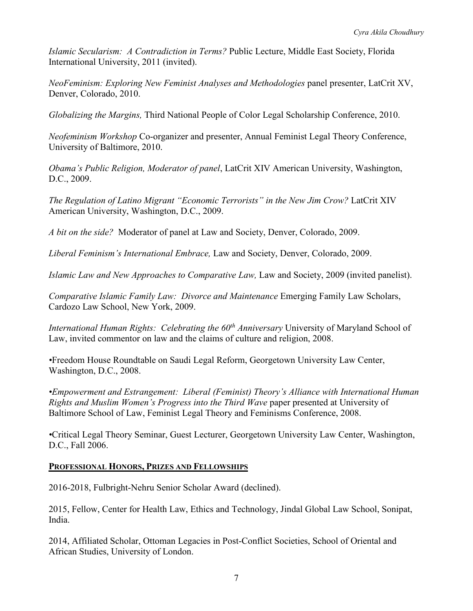*Islamic Secularism: A Contradiction in Terms?* Public Lecture, Middle East Society, Florida International University, 2011 (invited).

*NeoFeminism: Exploring New Feminist Analyses and Methodologies* panel presenter, LatCrit XV, Denver, Colorado, 2010.

*Globalizing the Margins,* Third National People of Color Legal Scholarship Conference, 2010.

*Neofeminism Workshop* Co-organizer and presenter, Annual Feminist Legal Theory Conference, University of Baltimore, 2010.

*Obama's Public Religion, Moderator of panel*, LatCrit XIV American University, Washington, D.C., 2009.

*The Regulation of Latino Migrant "Economic Terrorists" in the New Jim Crow?* LatCrit XIV American University, Washington, D.C., 2009.

*A bit on the side?* Moderator of panel at Law and Society, Denver, Colorado, 2009.

*Liberal Feminism's International Embrace,* Law and Society, Denver, Colorado, 2009.

*Islamic Law and New Approaches to Comparative Law, Law and Society, 2009 (invited panelist).* 

*Comparative Islamic Family Law: Divorce and Maintenance* Emerging Family Law Scholars, Cardozo Law School, New York, 2009.

*International Human Rights: Celebrating the 60<sup>th</sup> Anniversary University of Maryland School of* Law, invited commentor on law and the claims of culture and religion, 2008.

*•*Freedom House Roundtable on Saudi Legal Reform, Georgetown University Law Center, Washington, D.C., 2008.

*•Empowerment and Estrangement: Liberal (Feminist) Theory's Alliance with International Human Rights and Muslim Women's Progress into the Third Wave* paper presented at University of Baltimore School of Law, Feminist Legal Theory and Feminisms Conference, 2008.

*•*Critical Legal Theory Seminar, Guest Lecturer, Georgetown University Law Center, Washington, D.C., Fall 2006.

## **PROFESSIONAL HONORS, PRIZES AND FELLOWSHIPS**

2016-2018, Fulbright-Nehru Senior Scholar Award (declined).

2015, Fellow, Center for Health Law, Ethics and Technology, Jindal Global Law School, Sonipat, India.

2014, Affiliated Scholar, Ottoman Legacies in Post-Conflict Societies, School of Oriental and African Studies, University of London.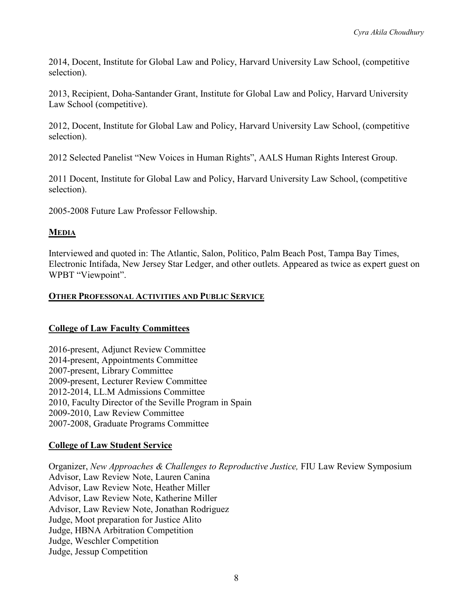2014, Docent, Institute for Global Law and Policy, Harvard University Law School, (competitive selection).

2013, Recipient, Doha-Santander Grant, Institute for Global Law and Policy, Harvard University Law School (competitive).

2012, Docent, Institute for Global Law and Policy, Harvard University Law School, (competitive selection).

2012 Selected Panelist "New Voices in Human Rights", AALS Human Rights Interest Group.

2011 Docent, Institute for Global Law and Policy, Harvard University Law School, (competitive selection).

2005-2008 Future Law Professor Fellowship.

## **MEDIA**

Interviewed and quoted in: The Atlantic, Salon, Politico, Palm Beach Post, Tampa Bay Times, Electronic Intifada, New Jersey Star Ledger, and other outlets. Appeared as twice as expert guest on WPBT "Viewpoint".

### **OTHER PROFESSONAL ACTIVITIES AND PUBLIC SERVICE**

## **College of Law Faculty Committees**

2016-present, Adjunct Review Committee 2014-present, Appointments Committee 2007-present, Library Committee 2009-present, Lecturer Review Committee 2012-2014, LL.M Admissions Committee 2010, Faculty Director of the Seville Program in Spain 2009-2010, Law Review Committee 2007-2008, Graduate Programs Committee

## **College of Law Student Service**

Organizer, *New Approaches & Challenges to Reproductive Justice,* FIU Law Review Symposium Advisor, Law Review Note, Lauren Canina Advisor, Law Review Note, Heather Miller Advisor, Law Review Note, Katherine Miller Advisor, Law Review Note, Jonathan Rodriguez Judge, Moot preparation for Justice Alito Judge, HBNA Arbitration Competition Judge, Weschler Competition Judge, Jessup Competition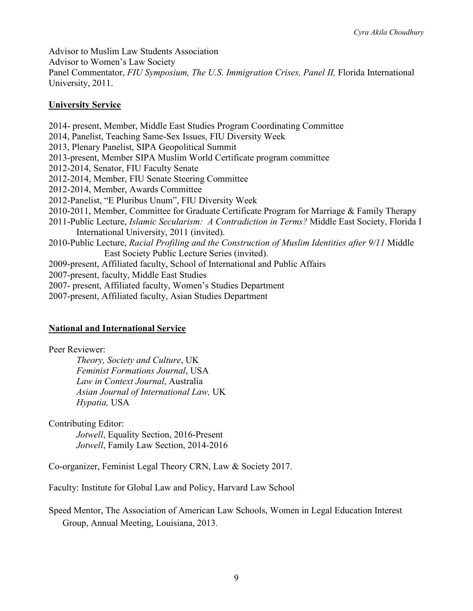Advisor to Muslim Law Students Association Advisor to Women's Law Society Panel Commentator, *FIU Symposium, The U.S. Immigration Crises, Panel II,* Florida International University, 2011.

### **University Service**

2014- present, Member, Middle East Studies Program Coordinating Committee 2014, Panelist, Teaching Same-Sex Issues, FIU Diversity Week 2013, Plenary Panelist, SIPA Geopolitical Summit 2013-present, Member SIPA Muslim World Certificate program committee 2012-2014, Senator, FIU Faculty Senate 2012-2014, Member, FIU Senate Steering Committee 2012-2014, Member, Awards Committee 2012-Panelist, "E Pluribus Unum", FIU Diversity Week 2010-2011, Member, Committee for Graduate Certificate Program for Marriage & Family Therapy 2011-Public Lecture, *Islamic Secularism: A Contradiction in Terms?* Middle East Society, Florida I International University, 2011 (invited). 2010-Public Lecture, *Racial Profiling and the Construction of Muslim Identities after 9/11* Middle East Society Public Lecture Series (invited). 2009-present, Affiliated faculty, School of International and Public Affairs 2007-present, faculty, Middle East Studies 2007- present, Affiliated faculty, Women's Studies Department 2007-present, Affiliated faculty, Asian Studies Department

## **National and International Service**

Peer Reviewer: *Theory, Society and Culture*, UK *Feminist Formations Journal*, USA *Law in Context Journal*, Australia *Asian Journal of International Law,* UK *Hypatia,* USA

Contributing Editor: *Jotwell*, Equality Section, 2016-Present *Jotwell*, Family Law Section, 2014-2016

Co-organizer, Feminist Legal Theory CRN, Law & Society 2017.

Faculty: Institute for Global Law and Policy, Harvard Law School

Speed Mentor, The Association of American Law Schools, Women in Legal Education Interest Group, Annual Meeting, Louisiana, 2013.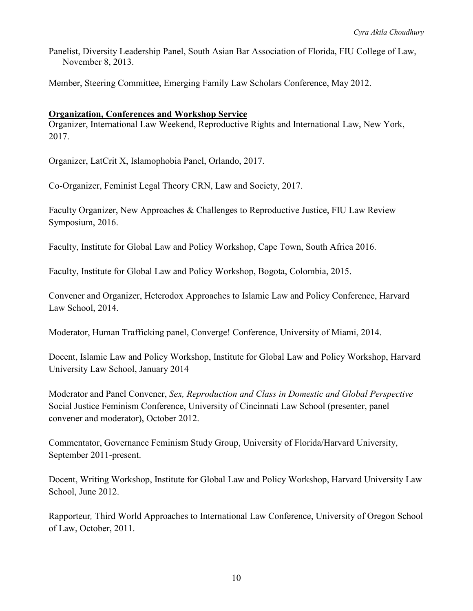Panelist, Diversity Leadership Panel, South Asian Bar Association of Florida, FIU College of Law, November 8, 2013.

Member, Steering Committee, Emerging Family Law Scholars Conference, May 2012.

### **Organization, Conferences and Workshop Service**

Organizer, International Law Weekend, Reproductive Rights and International Law, New York, 2017.

Organizer, LatCrit X, Islamophobia Panel, Orlando, 2017.

Co-Organizer, Feminist Legal Theory CRN, Law and Society, 2017.

Faculty Organizer, New Approaches & Challenges to Reproductive Justice, FIU Law Review Symposium, 2016.

Faculty, Institute for Global Law and Policy Workshop, Cape Town, South Africa 2016.

Faculty, Institute for Global Law and Policy Workshop, Bogota, Colombia, 2015.

Convener and Organizer, Heterodox Approaches to Islamic Law and Policy Conference, Harvard Law School, 2014.

Moderator, Human Trafficking panel, Converge! Conference, University of Miami, 2014.

Docent, Islamic Law and Policy Workshop, Institute for Global Law and Policy Workshop, Harvard University Law School, January 2014

Moderator and Panel Convener, *Sex, Reproduction and Class in Domestic and Global Perspective* Social Justice Feminism Conference, University of Cincinnati Law School (presenter, panel convener and moderator), October 2012.

Commentator, Governance Feminism Study Group, University of Florida/Harvard University, September 2011-present.

Docent, Writing Workshop, Institute for Global Law and Policy Workshop, Harvard University Law School, June 2012.

Rapporteur*,* Third World Approaches to International Law Conference, University of Oregon School of Law, October, 2011.